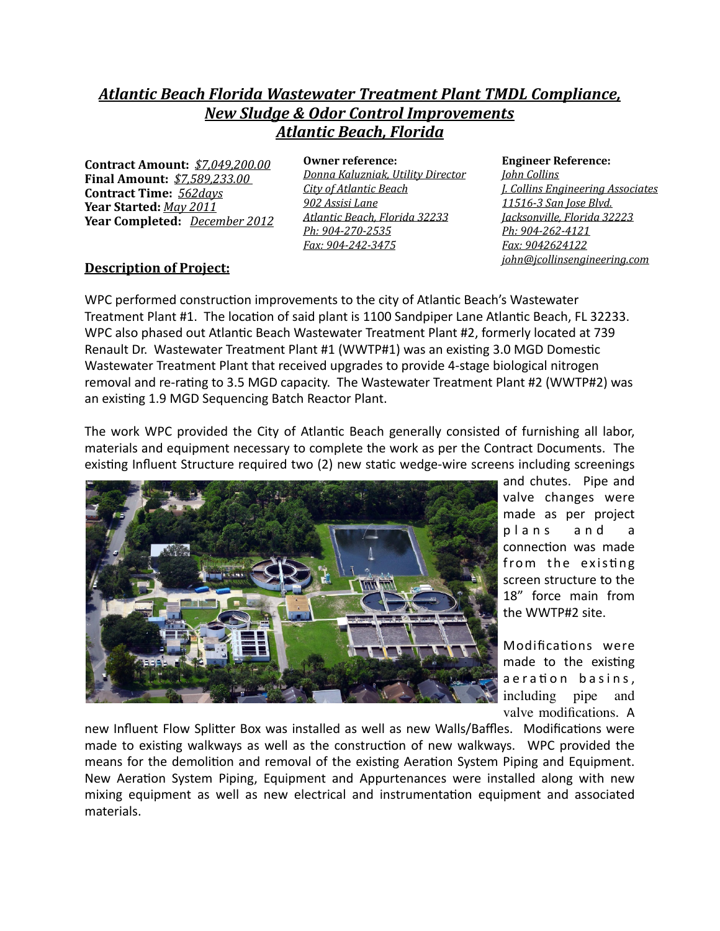## *Atlantic Beach Florida Wastewater Treatment Plant TMDL Compliance, New Sludge & Odor Control Improvements Atlantic Beach, Florida*

**Contract Amount:** *\$7,049,200.00* **Final Amount:**  $$7,589,233.00$ **Contract Time:** *562days*  **Year Started:** *May* 2011 Year Completed: *December 2012* 

**Owner reference:** *Donna Kaluzniak, Utility Director City of Atlantic Beach 902 Assisi Lane Atlantic Beach, Florida 32233 Ph: 904-270-2535 Fax: 904-242-3475* 

**Engineer Reference:** 

*John Collins J. Collins Engineering Associates 11516-3 San Jose Blvd. Jacksonville, Florida 32223 Ph: 904-262-4121 Fax: 9042624122 john@jcollinsengineering.com* 

## **Description of Project:**

WPC performed construction improvements to the city of Atlantic Beach's Wastewater Treatment Plant #1. The location of said plant is 1100 Sandpiper Lane Atlantic Beach, FL 32233. WPC also phased out Atlantic Beach Wastewater Treatment Plant #2, formerly located at 739 Renault Dr. Wastewater Treatment Plant #1 (WWTP#1) was an existing 3.0 MGD Domestic Wastewater Treatment Plant that received upgrades to provide 4-stage biological nitrogen removal and re-rating to 3.5 MGD capacity. The Wastewater Treatment Plant #2 (WWTP#2) was an existing 1.9 MGD Sequencing Batch Reactor Plant.

The work WPC provided the City of Atlantic Beach generally consisted of furnishing all labor, materials and equipment necessary to complete the work as per the Contract Documents. The existing Influent Structure required two (2) new static wedge-wire screens including screenings



and chutes. Pipe and valve changes were made as per project plans and a connection was made from the existing screen structure to the 18" force main from the WWTP#2 site.

Modifications were made to the existing a e ration basins, including pipe and valve modifications. A

new Influent Flow Splitter Box was installed as well as new Walls/Baffles. Modifications were made to existing walkways as well as the construction of new walkways. WPC provided the means for the demolition and removal of the existing Aeration System Piping and Equipment. New Aeration System Piping, Equipment and Appurtenances were installed along with new mixing equipment as well as new electrical and instrumentation equipment and associated materials.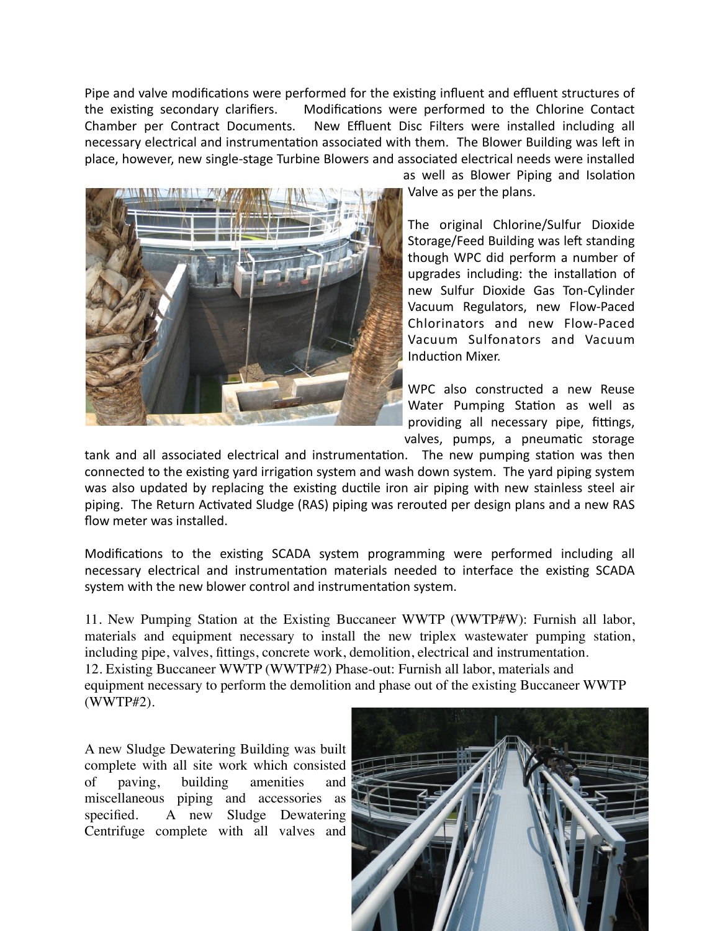Pipe and valve modifications were performed for the existing influent and effluent structures of the existing secondary clarifiers. Modifications were performed to the Chlorine Contact Chamber per Contract Documents. New Effluent Disc Filters were installed including all necessary electrical and instrumentation associated with them. The Blower Building was left in place, however, new single-stage Turbine Blowers and associated electrical needs were installed



as well as Blower Piping and Isolation Valve as per the plans.

The original Chlorine/Sulfur Dioxide Storage/Feed Building was left standing though WPC did perform a number of upgrades including: the installation of new Sulfur Dioxide Gas Ton-Cylinder Vacuum Regulators, new Flow-Paced Chlorinators and new Flow-Paced Vacuum Sulfonators and Vacuum Induction Mixer.

WPC also constructed a new Reuse Water Pumping Station as well as providing all necessary pipe, fittings, valves, pumps, a pneumatic storage

tank and all associated electrical and instrumentation. The new pumping station was then connected to the existing yard irrigation system and wash down system. The yard piping system was also updated by replacing the existing ductile iron air piping with new stainless steel air piping. The Return Activated Sludge (RAS) piping was rerouted per design plans and a new RAS flow meter was installed.

Modifications to the existing SCADA system programming were performed including all necessary electrical and instrumentation materials needed to interface the existing SCADA system with the new blower control and instrumentation system.

11. New Pumping Station at the Existing Buccaneer WWTP (WWTP#W): Furnish all labor, materials and equipment necessary to install the new triplex wastewater pumping station, including pipe, valves, fittings, concrete work, demolition, electrical and instrumentation. 12. Existing Buccaneer WWTP (WWTP#2) Phase-out: Furnish all labor, materials and equipment necessary to perform the demolition and phase out of the existing Buccaneer WWTP (WWTP#2).

A new Sludge Dewatering Building was built complete with all site work which consisted of paving, building amenities and miscellaneous piping and accessories as specified. A new Sludge Dewatering Centrifuge complete with all valves and